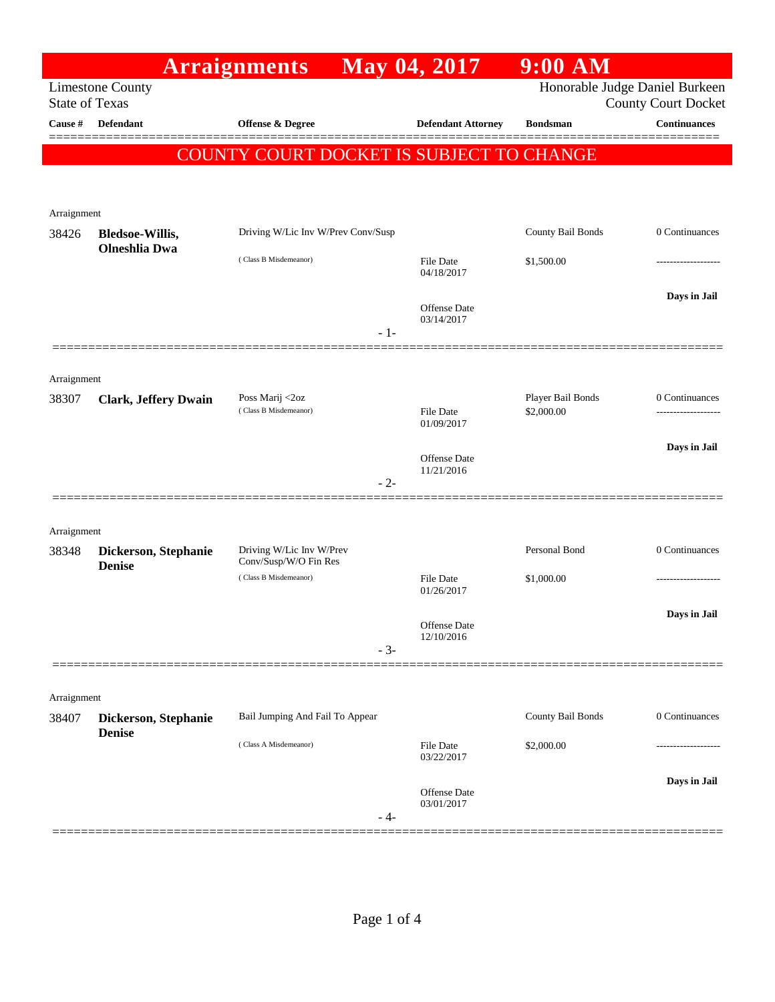|                       |                                       | <b>Arraignments</b>                               | May 04, 2017                   | $9:00$ AM                       |                                                              |
|-----------------------|---------------------------------------|---------------------------------------------------|--------------------------------|---------------------------------|--------------------------------------------------------------|
| <b>State of Texas</b> | <b>Limestone County</b>               |                                                   |                                |                                 | Honorable Judge Daniel Burkeen<br><b>County Court Docket</b> |
| Cause #               | <b>Defendant</b>                      | <b>Offense &amp; Degree</b>                       | <b>Defendant Attorney</b>      | <b>Bondsman</b>                 | <b>Continuances</b>                                          |
|                       |                                       | COUNTY COURT DOCKET IS SUBJECT TO CHANGE          |                                |                                 | ======                                                       |
| Arraignment           |                                       |                                                   |                                |                                 |                                                              |
| 38426                 | <b>Bledsoe-Willis,</b>                | Driving W/Lic Inv W/Prev Conv/Susp                |                                | County Bail Bonds               | 0 Continuances                                               |
|                       | <b>Olneshlia</b> Dwa                  | (Class B Misdemeanor)                             | <b>File Date</b><br>04/18/2017 | \$1,500.00                      |                                                              |
|                       |                                       | $-1-$                                             | Offense Date<br>03/14/2017     |                                 | Days in Jail                                                 |
| Arraignment           |                                       |                                                   |                                |                                 |                                                              |
| 38307                 | <b>Clark, Jeffery Dwain</b>           | Poss Marij <2oz<br>(Class B Misdemeanor)          | File Date<br>01/09/2017        | Player Bail Bonds<br>\$2,000.00 | 0 Continuances                                               |
|                       |                                       | $-2-$                                             | Offense Date<br>11/21/2016     |                                 | Days in Jail                                                 |
| Arraignment           |                                       |                                                   |                                |                                 |                                                              |
| 38348                 | Dickerson, Stephanie<br><b>Denise</b> | Driving W/Lic Inv W/Prev<br>Conv/Susp/W/O Fin Res |                                | Personal Bond                   | 0 Continuances                                               |
|                       |                                       | (Class B Misdemeanor)                             | <b>File Date</b><br>01/26/2017 | \$1,000.00                      | .                                                            |
|                       |                                       | $-3-$                                             | Offense Date<br>12/10/2016     |                                 | Days in Jail                                                 |
| Arraignment           |                                       |                                                   |                                |                                 |                                                              |
| 38407                 | Dickerson, Stephanie<br><b>Denise</b> | Bail Jumping And Fail To Appear                   |                                | County Bail Bonds               | 0 Continuances                                               |
|                       |                                       | (Class A Misdemeanor)                             | <b>File Date</b><br>03/22/2017 | \$2,000.00                      |                                                              |
|                       |                                       | - 4-                                              | Offense Date<br>03/01/2017     |                                 | Days in Jail                                                 |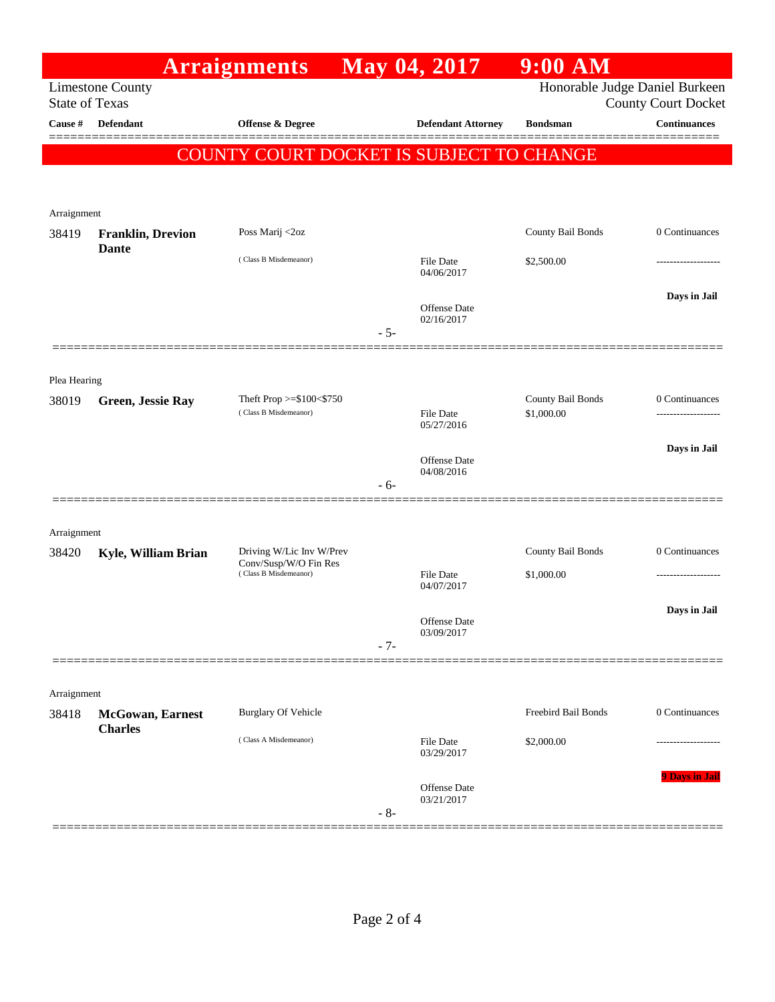|                                                  |                                          | <b>Arraignments</b>                                                        |       | May 04, 2017                      | $9:00$ AM                       |                                                              |
|--------------------------------------------------|------------------------------------------|----------------------------------------------------------------------------|-------|-----------------------------------|---------------------------------|--------------------------------------------------------------|
| <b>Limestone County</b><br><b>State of Texas</b> |                                          |                                                                            |       |                                   |                                 | Honorable Judge Daniel Burkeen<br><b>County Court Docket</b> |
| Cause #                                          | <b>Defendant</b>                         | Offense & Degree                                                           |       | <b>Defendant Attorney</b>         | <b>Bondsman</b>                 | Continuances                                                 |
|                                                  |                                          | COUNTY COURT DOCKET IS SUBJECT TO CHANGE                                   |       |                                   |                                 |                                                              |
| Arraignment                                      |                                          |                                                                            |       |                                   |                                 |                                                              |
| 38419                                            | <b>Franklin, Drevion</b><br><b>Dante</b> | Poss Marij <2oz                                                            |       |                                   | County Bail Bonds               | 0 Continuances                                               |
|                                                  |                                          | (Class B Misdemeanor)                                                      |       | <b>File Date</b><br>04/06/2017    | \$2,500.00                      |                                                              |
|                                                  |                                          |                                                                            | $-5-$ | <b>Offense Date</b><br>02/16/2017 |                                 | Days in Jail                                                 |
| Plea Hearing                                     |                                          |                                                                            |       |                                   |                                 |                                                              |
| 38019                                            | <b>Green, Jessie Ray</b>                 | Theft Prop >=\$100<\$750<br>(Class B Misdemeanor)                          |       | <b>File Date</b><br>05/27/2016    | County Bail Bonds<br>\$1,000.00 | 0 Continuances<br>.                                          |
|                                                  |                                          |                                                                            |       | <b>Offense Date</b><br>04/08/2016 |                                 | Days in Jail                                                 |
|                                                  |                                          |                                                                            | $-6-$ |                                   |                                 |                                                              |
| Arraignment                                      |                                          |                                                                            |       |                                   |                                 |                                                              |
| 38420                                            | Kyle, William Brian                      | Driving W/Lic Inv W/Prev<br>Conv/Susp/W/O Fin Res<br>(Class B Misdemeanor) |       | <b>File Date</b>                  | County Bail Bonds<br>\$1,000.00 | 0 Continuances                                               |
|                                                  |                                          |                                                                            |       | 04/07/2017                        |                                 |                                                              |
|                                                  |                                          |                                                                            | $-7-$ | Offense Date<br>03/09/2017        |                                 | Days in Jail                                                 |
| Arraignment                                      |                                          |                                                                            |       |                                   |                                 |                                                              |
| 38418                                            | McGowan, Earnest<br><b>Charles</b>       | <b>Burglary Of Vehicle</b>                                                 |       |                                   | Freebird Bail Bonds             | 0 Continuances                                               |
|                                                  |                                          | (Class A Misdemeanor)                                                      |       | <b>File Date</b><br>03/29/2017    | \$2,000.00                      |                                                              |
|                                                  |                                          |                                                                            | $-8-$ | Offense Date<br>03/21/2017        |                                 | 9 Days in Jail                                               |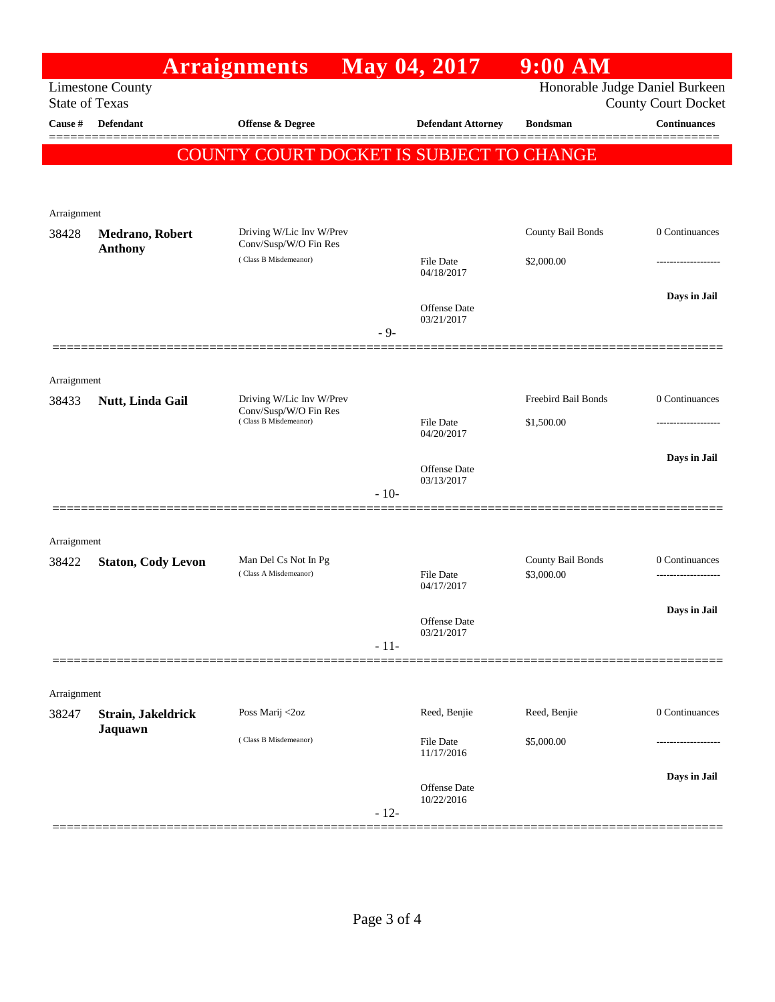|                                                  |                                          | <b>Arraignments</b>                               |        | May 04, 2017                   | $9:00$ AM                       |                                                              |  |  |  |
|--------------------------------------------------|------------------------------------------|---------------------------------------------------|--------|--------------------------------|---------------------------------|--------------------------------------------------------------|--|--|--|
| <b>Limestone County</b><br><b>State of Texas</b> |                                          |                                                   |        |                                |                                 | Honorable Judge Daniel Burkeen<br><b>County Court Docket</b> |  |  |  |
| Cause #                                          | <b>Defendant</b>                         | <b>Offense &amp; Degree</b>                       |        | <b>Defendant Attorney</b>      | <b>Bondsman</b>                 | Continuances                                                 |  |  |  |
|                                                  | COUNTY COURT DOCKET IS SUBJECT TO CHANGE |                                                   |        |                                |                                 |                                                              |  |  |  |
|                                                  |                                          |                                                   |        |                                |                                 |                                                              |  |  |  |
| Arraignment                                      |                                          |                                                   |        |                                |                                 |                                                              |  |  |  |
| 38428                                            | Medrano, Robert                          | Driving W/Lic Inv W/Prev<br>Conv/Susp/W/O Fin Res |        |                                | County Bail Bonds               | 0 Continuances                                               |  |  |  |
|                                                  | <b>Anthony</b>                           | (Class B Misdemeanor)                             |        | <b>File Date</b><br>04/18/2017 | \$2,000.00                      |                                                              |  |  |  |
|                                                  |                                          |                                                   |        | Offense Date<br>03/21/2017     |                                 | Days in Jail                                                 |  |  |  |
|                                                  |                                          |                                                   | $-9-$  |                                |                                 |                                                              |  |  |  |
|                                                  |                                          |                                                   |        |                                |                                 |                                                              |  |  |  |
| Arraignment<br>38433                             | Nutt, Linda Gail                         | Driving W/Lic Inv W/Prev                          |        |                                | Freebird Bail Bonds             | 0 Continuances                                               |  |  |  |
|                                                  |                                          | Conv/Susp/W/O Fin Res<br>(Class B Misdemeanor)    |        | <b>File Date</b><br>04/20/2017 | \$1,500.00                      |                                                              |  |  |  |
|                                                  |                                          |                                                   |        |                                |                                 | Days in Jail                                                 |  |  |  |
|                                                  |                                          |                                                   | $-10-$ | Offense Date<br>03/13/2017     |                                 |                                                              |  |  |  |
|                                                  |                                          |                                                   |        |                                |                                 |                                                              |  |  |  |
| Arraignment                                      |                                          |                                                   |        |                                |                                 |                                                              |  |  |  |
| 38422                                            | <b>Staton, Cody Levon</b>                | Man Del Cs Not In Pg<br>(Class A Misdemeanor)     |        | File Date<br>04/17/2017        | County Bail Bonds<br>\$3,000.00 | 0 Continuances                                               |  |  |  |
|                                                  |                                          |                                                   |        |                                |                                 | Days in Jail                                                 |  |  |  |
|                                                  |                                          |                                                   | $-11-$ | Offense Date<br>03/21/2017     |                                 |                                                              |  |  |  |
|                                                  |                                          |                                                   |        |                                |                                 |                                                              |  |  |  |
| Arraignment<br>38247                             | Strain, Jakeldrick                       | Poss Marij <2oz                                   |        | Reed, Benjie                   | Reed, Benjie                    | 0 Continuances                                               |  |  |  |
|                                                  | Jaquawn                                  | (Class B Misdemeanor)                             |        | <b>File Date</b><br>11/17/2016 | \$5,000.00                      |                                                              |  |  |  |
|                                                  |                                          |                                                   |        |                                |                                 | Days in Jail                                                 |  |  |  |
|                                                  |                                          |                                                   | $-12-$ | Offense Date<br>10/22/2016     |                                 |                                                              |  |  |  |